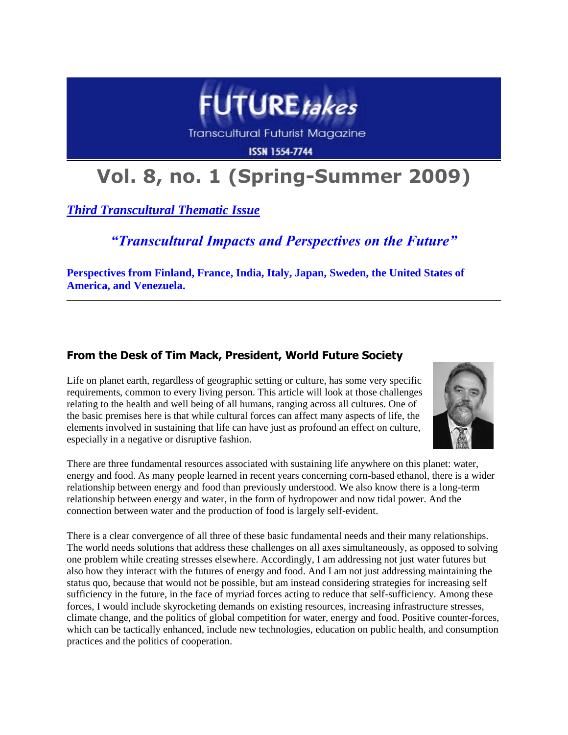

Transcultural Futurist Magazine

**ISSN 1554-7744** 

# **Vol. 8, no. 1 (Spring-Summer 2009)**

*Third Transcultural Thematic Issue*

## *"Transcultural Impacts and Perspectives on the Future"*

**Perspectives from Finland, France, India, Italy, Japan, Sweden, the United States of America, and Venezuela.**

### **From the Desk of Tim Mack, President, World Future Society**

Life on planet earth, regardless of geographic setting or culture, has some very specific requirements, common to every living person. This article will look at those challenges relating to the health and well being of all humans, ranging across all cultures. One of the basic premises here is that while cultural forces can affect many aspects of life, the elements involved in sustaining that life can have just as profound an effect on culture, especially in a negative or disruptive fashion.



There are three fundamental resources associated with sustaining life anywhere on this planet: water, energy and food. As many people learned in recent years concerning corn-based ethanol, there is a wider relationship between energy and food than previously understood. We also know there is a long-term relationship between energy and water, in the form of hydropower and now tidal power. And the connection between water and the production of food is largely self-evident.

There is a clear convergence of all three of these basic fundamental needs and their many relationships. The world needs solutions that address these challenges on all axes simultaneously, as opposed to solving one problem while creating stresses elsewhere. Accordingly, I am addressing not just water futures but also how they interact with the futures of energy and food. And I am not just addressing maintaining the status quo, because that would not be possible, but am instead considering strategies for increasing self sufficiency in the future, in the face of myriad forces acting to reduce that self-sufficiency. Among these forces, I would include skyrocketing demands on existing resources, increasing infrastructure stresses, climate change, and the politics of global competition for water, energy and food. Positive counter-forces, which can be tactically enhanced, include new technologies, education on public health, and consumption practices and the politics of cooperation.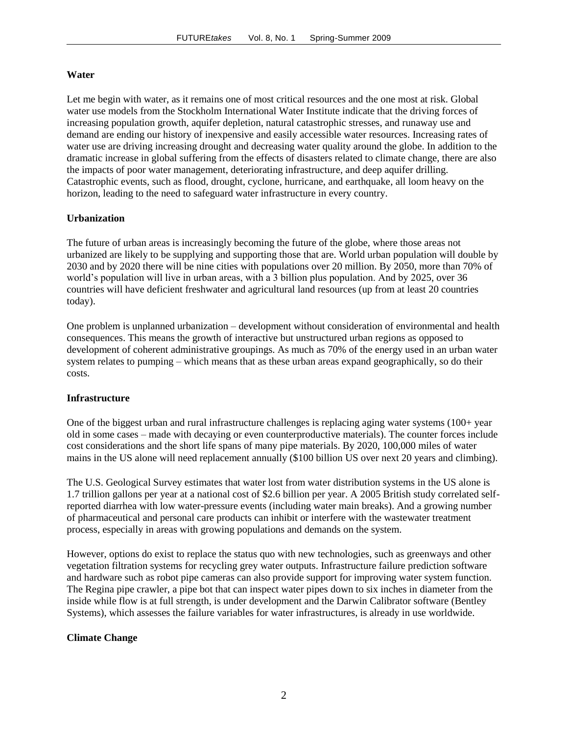#### **Water**

Let me begin with water, as it remains one of most critical resources and the one most at risk. Global water use models from the Stockholm International Water Institute indicate that the driving forces of increasing population growth, aquifer depletion, natural catastrophic stresses, and runaway use and demand are ending our history of inexpensive and easily accessible water resources. Increasing rates of water use are driving increasing drought and decreasing water quality around the globe. In addition to the dramatic increase in global suffering from the effects of disasters related to climate change, there are also the impacts of poor water management, deteriorating infrastructure, and deep aquifer drilling. Catastrophic events, such as flood, drought, cyclone, hurricane, and earthquake, all loom heavy on the horizon, leading to the need to safeguard water infrastructure in every country.

#### **Urbanization**

The future of urban areas is increasingly becoming the future of the globe, where those areas not urbanized are likely to be supplying and supporting those that are. World urban population will double by 2030 and by 2020 there will be nine cities with populations over 20 million. By 2050, more than 70% of world's population will live in urban areas, with a 3 billion plus population. And by 2025, over 36 countries will have deficient freshwater and agricultural land resources (up from at least 20 countries today).

One problem is unplanned urbanization – development without consideration of environmental and health consequences. This means the growth of interactive but unstructured urban regions as opposed to development of coherent administrative groupings. As much as 70% of the energy used in an urban water system relates to pumping – which means that as these urban areas expand geographically, so do their costs.

#### **Infrastructure**

One of the biggest urban and rural infrastructure challenges is replacing aging water systems  $(100+)$  year old in some cases – made with decaying or even counterproductive materials). The counter forces include cost considerations and the short life spans of many pipe materials. By 2020, 100,000 miles of water mains in the US alone will need replacement annually (\$100 billion US over next 20 years and climbing).

The U.S. Geological Survey estimates that water lost from water distribution systems in the US alone is 1.7 trillion gallons per year at a national cost of \$2.6 billion per year. A 2005 British study correlated selfreported diarrhea with low water-pressure events (including water main breaks). And a growing number of pharmaceutical and personal care products can inhibit or interfere with the wastewater treatment process, especially in areas with growing populations and demands on the system.

However, options do exist to replace the status quo with new technologies, such as greenways and other vegetation filtration systems for recycling grey water outputs. Infrastructure failure prediction software and hardware such as robot pipe cameras can also provide support for improving water system function. The Regina pipe crawler, a pipe bot that can inspect water pipes down to six inches in diameter from the inside while flow is at full strength, is under development and the Darwin Calibrator software (Bentley Systems), which assesses the failure variables for water infrastructures, is already in use worldwide.

#### **Climate Change**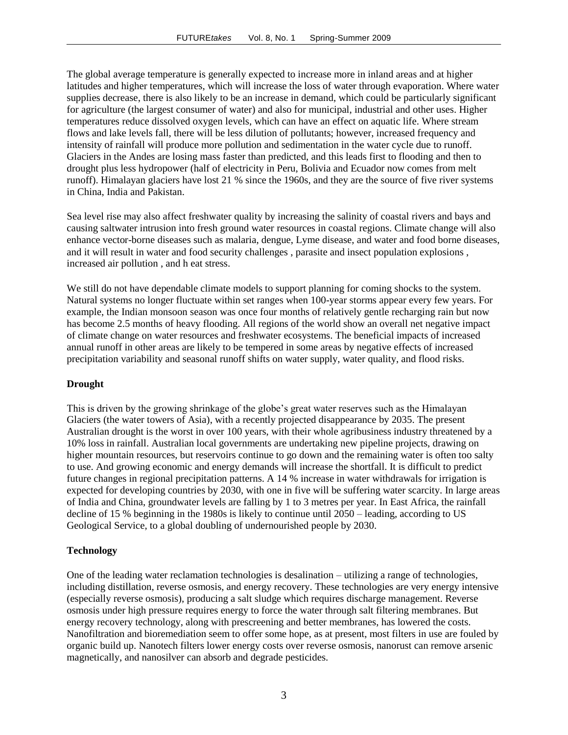The global average temperature is generally expected to increase more in inland areas and at higher latitudes and higher temperatures, which will increase the loss of water through evaporation. Where water supplies decrease, there is also likely to be an increase in demand, which could be particularly significant for agriculture (the largest consumer of water) and also for municipal, industrial and other uses. Higher temperatures reduce dissolved oxygen levels, which can have an effect on aquatic life. Where stream flows and lake levels fall, there will be less dilution of pollutants; however, increased frequency and intensity of rainfall will produce more pollution and sedimentation in the water cycle due to runoff. Glaciers in the Andes are losing mass faster than predicted, and this leads first to flooding and then to drought plus less hydropower (half of electricity in Peru, Bolivia and Ecuador now comes from melt runoff). Himalayan glaciers have lost 21 % since the 1960s, and they are the source of five river systems in China, India and Pakistan.

Sea level rise may also affect freshwater quality by increasing the salinity of coastal rivers and bays and causing saltwater intrusion into fresh ground water resources in coastal regions. Climate change will also enhance vector-borne diseases such as malaria, dengue, Lyme disease, and water and food borne diseases, and it will result in water and food security challenges , parasite and insect population explosions , increased air pollution , and h eat stress.

We still do not have dependable climate models to support planning for coming shocks to the system. Natural systems no longer fluctuate within set ranges when 100-year storms appear every few years. For example, the Indian monsoon season was once four months of relatively gentle recharging rain but now has become 2.5 months of heavy flooding. All regions of the world show an overall net negative impact of climate change on water resources and freshwater ecosystems. The beneficial impacts of increased annual runoff in other areas are likely to be tempered in some areas by negative effects of increased precipitation variability and seasonal runoff shifts on water supply, water quality, and flood risks.

#### **Drought**

This is driven by the growing shrinkage of the globe's great water reserves such as the Himalayan Glaciers (the water towers of Asia), with a recently projected disappearance by 2035. The present Australian drought is the worst in over 100 years, with their whole agribusiness industry threatened by a 10% loss in rainfall. Australian local governments are undertaking new pipeline projects, drawing on higher mountain resources, but reservoirs continue to go down and the remaining water is often too salty to use. And growing economic and energy demands will increase the shortfall. It is difficult to predict future changes in regional precipitation patterns. A 14 % increase in water withdrawals for irrigation is expected for developing countries by 2030, with one in five will be suffering water scarcity. In large areas of India and China, groundwater levels are falling by 1 to 3 metres per year. In East Africa, the rainfall decline of 15 % beginning in the 1980s is likely to continue until 2050 – leading, according to US Geological Service, to a global doubling of undernourished people by 2030.

#### **Technology**

One of the leading water reclamation technologies is desalination – utilizing a range of technologies, including distillation, reverse osmosis, and energy recovery. These technologies are very energy intensive (especially reverse osmosis), producing a salt sludge which requires discharge management. Reverse osmosis under high pressure requires energy to force the water through salt filtering membranes. But energy recovery technology, along with prescreening and better membranes, has lowered the costs. Nanofiltration and bioremediation seem to offer some hope, as at present, most filters in use are fouled by organic build up. Nanotech filters lower energy costs over reverse osmosis, nanorust can remove arsenic magnetically, and nanosilver can absorb and degrade pesticides.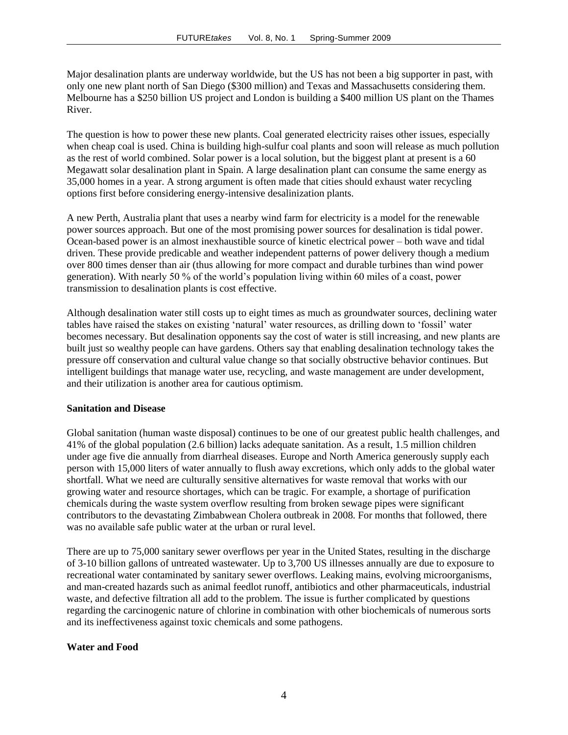Major desalination plants are underway worldwide, but the US has not been a big supporter in past, with only one new plant north of San Diego (\$300 million) and Texas and Massachusetts considering them. Melbourne has a \$250 billion US project and London is building a \$400 million US plant on the Thames River.

The question is how to power these new plants. Coal generated electricity raises other issues, especially when cheap coal is used. China is building high-sulfur coal plants and soon will release as much pollution as the rest of world combined. Solar power is a local solution, but the biggest plant at present is a 60 Megawatt solar desalination plant in Spain. A large desalination plant can consume the same energy as 35,000 homes in a year. A strong argument is often made that cities should exhaust water recycling options first before considering energy-intensive desalinization plants.

A new Perth, Australia plant that uses a nearby wind farm for electricity is a model for the renewable power sources approach. But one of the most promising power sources for desalination is tidal power. Ocean-based power is an almost inexhaustible source of kinetic electrical power – both wave and tidal driven. These provide predicable and weather independent patterns of power delivery though a medium over 800 times denser than air (thus allowing for more compact and durable turbines than wind power generation). With nearly 50 % of the world's population living within 60 miles of a coast, power transmission to desalination plants is cost effective.

Although desalination water still costs up to eight times as much as groundwater sources, declining water tables have raised the stakes on existing 'natural' water resources, as drilling down to 'fossil' water becomes necessary. But desalination opponents say the cost of water is still increasing, and new plants are built just so wealthy people can have gardens. Others say that enabling desalination technology takes the pressure off conservation and cultural value change so that socially obstructive behavior continues. But intelligent buildings that manage water use, recycling, and waste management are under development, and their utilization is another area for cautious optimism.

#### **Sanitation and Disease**

Global sanitation (human waste disposal) continues to be one of our greatest public health challenges, and 41% of the global population (2.6 billion) lacks adequate sanitation. As a result, 1.5 million children under age five die annually from diarrheal diseases. Europe and North America generously supply each person with 15,000 liters of water annually to flush away excretions, which only adds to the global water shortfall. What we need are culturally sensitive alternatives for waste removal that works with our growing water and resource shortages, which can be tragic. For example, a shortage of purification chemicals during the waste system overflow resulting from broken sewage pipes were significant contributors to the devastating Zimbabwean Cholera outbreak in 2008. For months that followed, there was no available safe public water at the urban or rural level.

There are up to 75,000 sanitary sewer overflows per year in the United States, resulting in the discharge of 3-10 billion gallons of untreated wastewater. Up to 3,700 US illnesses annually are due to exposure to recreational water contaminated by sanitary sewer overflows. Leaking mains, evolving microorganisms, and man-created hazards such as animal feedlot runoff, antibiotics and other pharmaceuticals, industrial waste, and defective filtration all add to the problem. The issue is further complicated by questions regarding the carcinogenic nature of chlorine in combination with other biochemicals of numerous sorts and its ineffectiveness against toxic chemicals and some pathogens.

#### **Water and Food**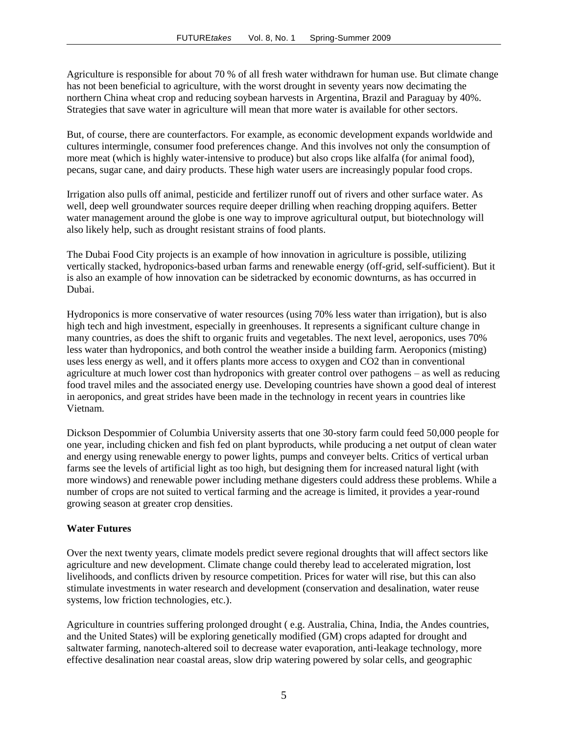Agriculture is responsible for about 70 % of all fresh water withdrawn for human use. But climate change has not been beneficial to agriculture, with the worst drought in seventy years now decimating the northern China wheat crop and reducing soybean harvests in Argentina, Brazil and Paraguay by 40%. Strategies that save water in agriculture will mean that more water is available for other sectors.

But, of course, there are counterfactors. For example, as economic development expands worldwide and cultures intermingle, consumer food preferences change. And this involves not only the consumption of more meat (which is highly water-intensive to produce) but also crops like alfalfa (for animal food), pecans, sugar cane, and dairy products. These high water users are increasingly popular food crops.

Irrigation also pulls off animal, pesticide and fertilizer runoff out of rivers and other surface water. As well, deep well groundwater sources require deeper drilling when reaching dropping aquifers. Better water management around the globe is one way to improve agricultural output, but biotechnology will also likely help, such as drought resistant strains of food plants.

The Dubai Food City projects is an example of how innovation in agriculture is possible, utilizing vertically stacked, hydroponics-based urban farms and renewable energy (off-grid, self-sufficient). But it is also an example of how innovation can be sidetracked by economic downturns, as has occurred in Dubai.

Hydroponics is more conservative of water resources (using 70% less water than irrigation), but is also high tech and high investment, especially in greenhouses. It represents a significant culture change in many countries, as does the shift to organic fruits and vegetables. The next level, aeroponics, uses 70% less water than hydroponics, and both control the weather inside a building farm. Aeroponics (misting) uses less energy as well, and it offers plants more access to oxygen and CO2 than in conventional agriculture at much lower cost than hydroponics with greater control over pathogens – as well as reducing food travel miles and the associated energy use. Developing countries have shown a good deal of interest in aeroponics, and great strides have been made in the technology in recent years in countries like Vietnam.

Dickson Despommier of Columbia University asserts that one 30-story farm could feed 50,000 people for one year, including chicken and fish fed on plant byproducts, while producing a net output of clean water and energy using renewable energy to power lights, pumps and conveyer belts. Critics of vertical urban farms see the levels of artificial light as too high, but designing them for increased natural light (with more windows) and renewable power including methane digesters could address these problems. While a number of crops are not suited to vertical farming and the acreage is limited, it provides a year-round growing season at greater crop densities.

#### **Water Futures**

Over the next twenty years, climate models predict severe regional droughts that will affect sectors like agriculture and new development. Climate change could thereby lead to accelerated migration, lost livelihoods, and conflicts driven by resource competition. Prices for water will rise, but this can also stimulate investments in water research and development (conservation and desalination, water reuse systems, low friction technologies, etc.).

Agriculture in countries suffering prolonged drought ( e.g. Australia, China, India, the Andes countries, and the United States) will be exploring genetically modified (GM) crops adapted for drought and saltwater farming, nanotech-altered soil to decrease water evaporation, anti-leakage technology, more effective desalination near coastal areas, slow drip watering powered by solar cells, and geographic